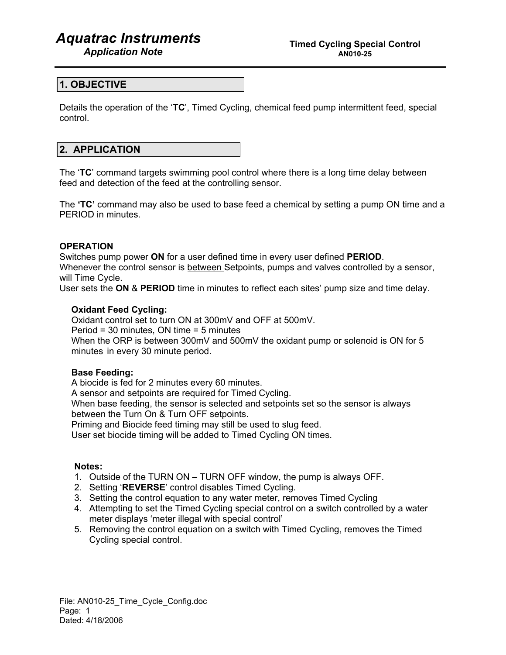# *Aquatrac Instruments*

### **1. OBJECTIVE**

Details the operation of the '**TC**', Timed Cycling, chemical feed pump intermittent feed, special control.

## **2. APPLICATION**

The '**TC**' command targets swimming pool control where there is a long time delay between feed and detection of the feed at the controlling sensor.

The **'TC'** command may also be used to base feed a chemical by setting a pump ON time and a PERIOD in minutes.

### **OPERATION**

Switches pump power **ON** for a user defined time in every user defined **PERIOD**. Whenever the control sensor is between Setpoints, pumps and valves controlled by a sensor, will Time Cycle.

User sets the **ON** & **PERIOD** time in minutes to reflect each sites' pump size and time delay.

### **Oxidant Feed Cycling:**

Oxidant control set to turn ON at 300mV and OFF at 500mV. Period = 30 minutes, ON time = 5 minutes When the ORP is between 300mV and 500mV the oxidant pump or solenoid is ON for 5 minutes in every 30 minute period.

### **Base Feeding:**

 A biocide is fed for 2 minutes every 60 minutes. A sensor and setpoints are required for Timed Cycling. When base feeding, the sensor is selected and setpoints set so the sensor is always between the Turn On & Turn OFF setpoints. Priming and Biocide feed timing may still be used to slug feed.

User set biocide timing will be added to Timed Cycling ON times.

### **Notes:**

- 1. Outside of the TURN ON TURN OFF window, the pump is always OFF.
- 2. Setting '**REVERSE**' control disables Timed Cycling.
- 3. Setting the control equation to any water meter, removes Timed Cycling
- 4. Attempting to set the Timed Cycling special control on a switch controlled by a water meter displays 'meter illegal with special control'
- 5. Removing the control equation on a switch with Timed Cycling, removes the Timed Cycling special control.